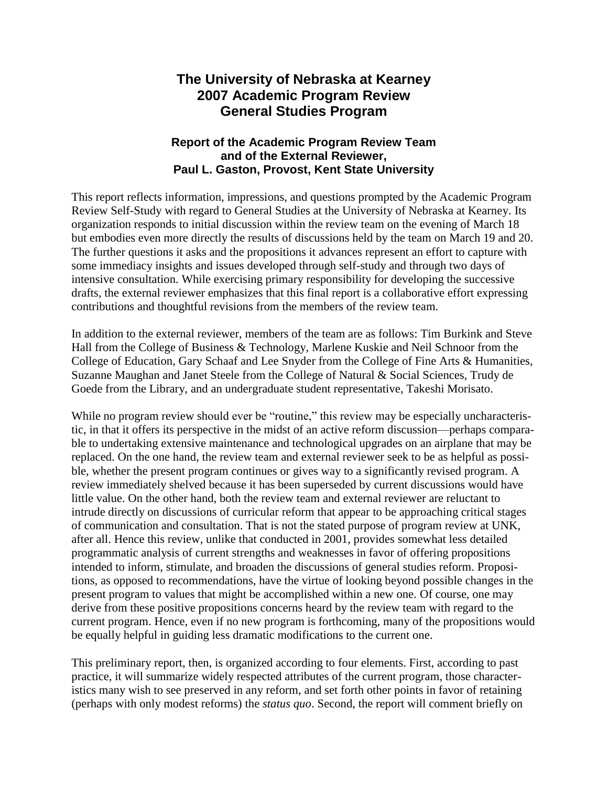# **The University of Nebraska at Kearney 2007 Academic Program Review General Studies Program**

# **Report of the Academic Program Review Team and of the External Reviewer, Paul L. Gaston, Provost, Kent State University**

This report reflects information, impressions, and questions prompted by the Academic Program Review Self-Study with regard to General Studies at the University of Nebraska at Kearney. Its organization responds to initial discussion within the review team on the evening of March 18 but embodies even more directly the results of discussions held by the team on March 19 and 20. The further questions it asks and the propositions it advances represent an effort to capture with some immediacy insights and issues developed through self-study and through two days of intensive consultation. While exercising primary responsibility for developing the successive drafts, the external reviewer emphasizes that this final report is a collaborative effort expressing contributions and thoughtful revisions from the members of the review team.

In addition to the external reviewer, members of the team are as follows: Tim Burkink and Steve Hall from the College of Business & Technology, Marlene Kuskie and Neil Schnoor from the College of Education, Gary Schaaf and Lee Snyder from the College of Fine Arts & Humanities, Suzanne Maughan and Janet Steele from the College of Natural & Social Sciences, Trudy de Goede from the Library, and an undergraduate student representative, Takeshi Morisato.

While no program review should ever be "routine," this review may be especially uncharacteristic, in that it offers its perspective in the midst of an active reform discussion—perhaps comparable to undertaking extensive maintenance and technological upgrades on an airplane that may be replaced. On the one hand, the review team and external reviewer seek to be as helpful as possible, whether the present program continues or gives way to a significantly revised program. A review immediately shelved because it has been superseded by current discussions would have little value. On the other hand, both the review team and external reviewer are reluctant to intrude directly on discussions of curricular reform that appear to be approaching critical stages of communication and consultation. That is not the stated purpose of program review at UNK, after all. Hence this review, unlike that conducted in 2001, provides somewhat less detailed programmatic analysis of current strengths and weaknesses in favor of offering propositions intended to inform, stimulate, and broaden the discussions of general studies reform. Propositions, as opposed to recommendations, have the virtue of looking beyond possible changes in the present program to values that might be accomplished within a new one. Of course, one may derive from these positive propositions concerns heard by the review team with regard to the current program. Hence, even if no new program is forthcoming, many of the propositions would be equally helpful in guiding less dramatic modifications to the current one.

This preliminary report, then, is organized according to four elements. First, according to past practice, it will summarize widely respected attributes of the current program, those characteristics many wish to see preserved in any reform, and set forth other points in favor of retaining (perhaps with only modest reforms) the *status quo*. Second, the report will comment briefly on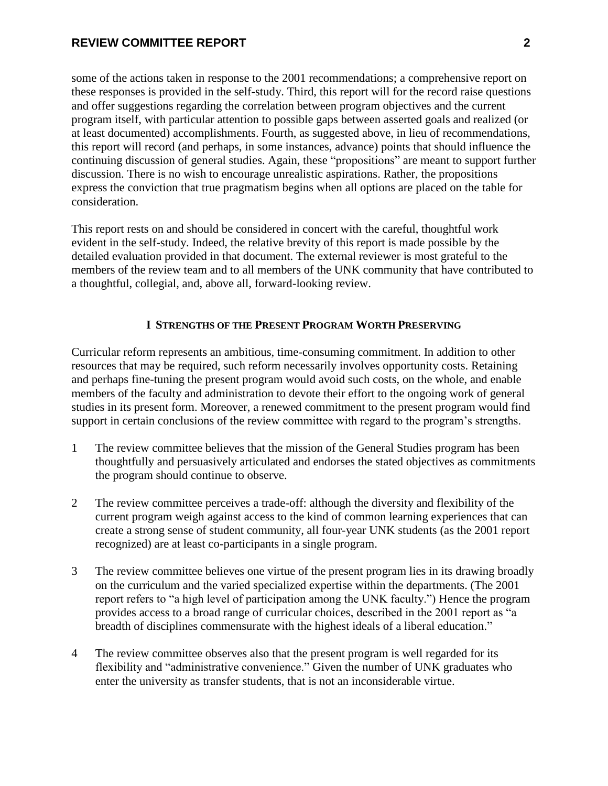some of the actions taken in response to the 2001 recommendations; a comprehensive report on these responses is provided in the self-study. Third, this report will for the record raise questions and offer suggestions regarding the correlation between program objectives and the current program itself, with particular attention to possible gaps between asserted goals and realized (or at least documented) accomplishments. Fourth, as suggested above, in lieu of recommendations, this report will record (and perhaps, in some instances, advance) points that should influence the continuing discussion of general studies. Again, these "propositions" are meant to support further discussion. There is no wish to encourage unrealistic aspirations. Rather, the propositions express the conviction that true pragmatism begins when all options are placed on the table for consideration.

This report rests on and should be considered in concert with the careful, thoughtful work evident in the self-study. Indeed, the relative brevity of this report is made possible by the detailed evaluation provided in that document. The external reviewer is most grateful to the members of the review team and to all members of the UNK community that have contributed to a thoughtful, collegial, and, above all, forward-looking review.

#### **I STRENGTHS OF THE PRESENT PROGRAM WORTH PRESERVING**

Curricular reform represents an ambitious, time-consuming commitment. In addition to other resources that may be required, such reform necessarily involves opportunity costs. Retaining and perhaps fine-tuning the present program would avoid such costs, on the whole, and enable members of the faculty and administration to devote their effort to the ongoing work of general studies in its present form. Moreover, a renewed commitment to the present program would find support in certain conclusions of the review committee with regard to the program's strengths.

- 1 The review committee believes that the mission of the General Studies program has been thoughtfully and persuasively articulated and endorses the stated objectives as commitments the program should continue to observe.
- 2 The review committee perceives a trade-off: although the diversity and flexibility of the current program weigh against access to the kind of common learning experiences that can create a strong sense of student community, all four-year UNK students (as the 2001 report recognized) are at least co-participants in a single program.
- 3 The review committee believes one virtue of the present program lies in its drawing broadly on the curriculum and the varied specialized expertise within the departments. (The 2001 report refers to "a high level of participation among the UNK faculty.") Hence the program provides access to a broad range of curricular choices, described in the 2001 report as "a breadth of disciplines commensurate with the highest ideals of a liberal education."
- 4 The review committee observes also that the present program is well regarded for its flexibility and "administrative convenience." Given the number of UNK graduates who enter the university as transfer students, that is not an inconsiderable virtue.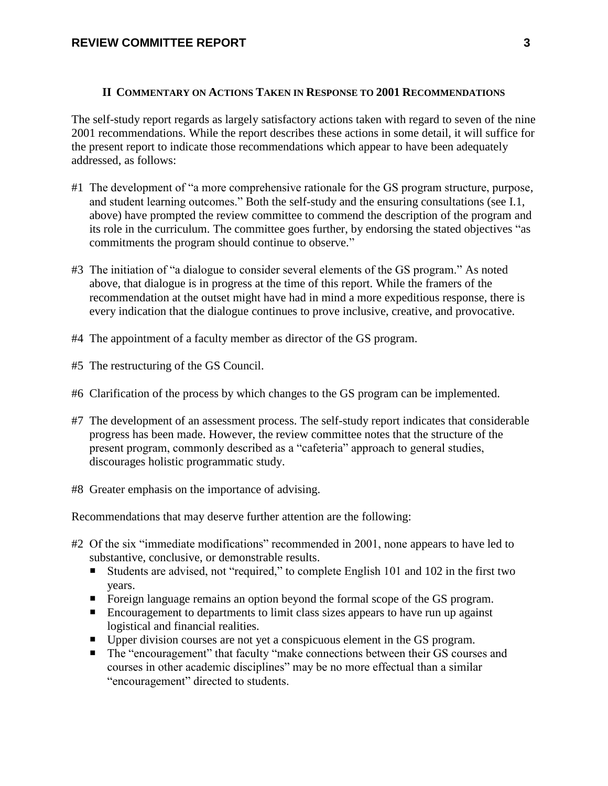#### **II COMMENTARY ON ACTIONS TAKEN IN RESPONSE TO 2001 RECOMMENDATIONS**

The self-study report regards as largely satisfactory actions taken with regard to seven of the nine 2001 recommendations. While the report describes these actions in some detail, it will suffice for the present report to indicate those recommendations which appear to have been adequately addressed, as follows:

- #1 The development of "a more comprehensive rationale for the GS program structure, purpose, and student learning outcomes." Both the self-study and the ensuring consultations (see I.1, above) have prompted the review committee to commend the description of the program and its role in the curriculum. The committee goes further, by endorsing the stated objectives "as commitments the program should continue to observe."
- #3 The initiation of "a dialogue to consider several elements of the GS program." As noted above, that dialogue is in progress at the time of this report. While the framers of the recommendation at the outset might have had in mind a more expeditious response, there is every indication that the dialogue continues to prove inclusive, creative, and provocative.
- #4 The appointment of a faculty member as director of the GS program.
- #5 The restructuring of the GS Council.
- #6 Clarification of the process by which changes to the GS program can be implemented.
- #7 The development of an assessment process. The self-study report indicates that considerable progress has been made. However, the review committee notes that the structure of the present program, commonly described as a "cafeteria" approach to general studies, discourages holistic programmatic study.
- #8 Greater emphasis on the importance of advising.

Recommendations that may deserve further attention are the following:

- #2 Of the six "immediate modifications" recommended in 2001, none appears to have led to substantive, conclusive, or demonstrable results.
	- Students are advised, not "required," to complete English 101 and 102 in the first two years.
	- Foreign language remains an option beyond the formal scope of the GS program.
	- Encouragement to departments to limit class sizes appears to have run up against logistical and financial realities.
	- Upper division courses are not yet a conspicuous element in the GS program.
	- The "encouragement" that faculty "make connections between their GS courses and courses in other academic disciplines" may be no more effectual than a similar "encouragement" directed to students.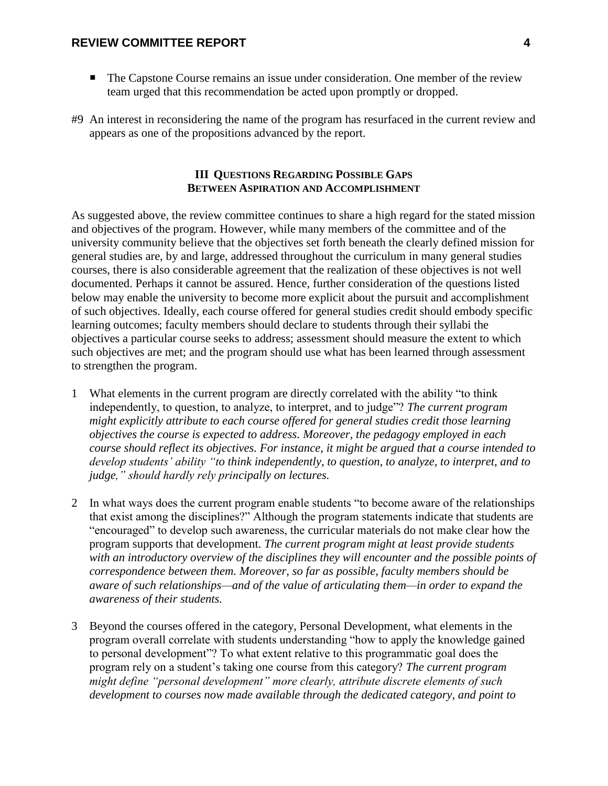- The Capstone Course remains an issue under consideration. One member of the review team urged that this recommendation be acted upon promptly or dropped.
- #9 An interest in reconsidering the name of the program has resurfaced in the current review and appears as one of the propositions advanced by the report.

# **III QUESTIONS REGARDING POSSIBLE GAPS BETWEEN ASPIRATION AND ACCOMPLISHMENT**

As suggested above, the review committee continues to share a high regard for the stated mission and objectives of the program. However, while many members of the committee and of the university community believe that the objectives set forth beneath the clearly defined mission for general studies are, by and large, addressed throughout the curriculum in many general studies courses, there is also considerable agreement that the realization of these objectives is not well documented. Perhaps it cannot be assured. Hence, further consideration of the questions listed below may enable the university to become more explicit about the pursuit and accomplishment of such objectives. Ideally, each course offered for general studies credit should embody specific learning outcomes; faculty members should declare to students through their syllabi the objectives a particular course seeks to address; assessment should measure the extent to which such objectives are met; and the program should use what has been learned through assessment to strengthen the program.

- 1 What elements in the current program are directly correlated with the ability "to think independently, to question, to analyze, to interpret, and to judge"? *The current program might explicitly attribute to each course offered for general studies credit those learning objectives the course is expected to address. Moreover, the pedagogy employed in each course should reflect its objectives. For instance, it might be argued that a course intended to develop students' ability "to think independently, to question, to analyze, to interpret, and to judge," should hardly rely principally on lectures.*
- 2 In what ways does the current program enable students "to become aware of the relationships that exist among the disciplines?" Although the program statements indicate that students are "encouraged" to develop such awareness, the curricular materials do not make clear how the program supports that development. *The current program might at least provide students with an introductory overview of the disciplines they will encounter and the possible points of correspondence between them. Moreover, so far as possible, faculty members should be aware of such relationships—and of the value of articulating them—in order to expand the awareness of their students.*
- 3 Beyond the courses offered in the category, Personal Development, what elements in the program overall correlate with students understanding "how to apply the knowledge gained to personal development"? To what extent relative to this programmatic goal does the program rely on a student's taking one course from this category? *The current program might define "personal development" more clearly, attribute discrete elements of such development to courses now made available through the dedicated category, and point to*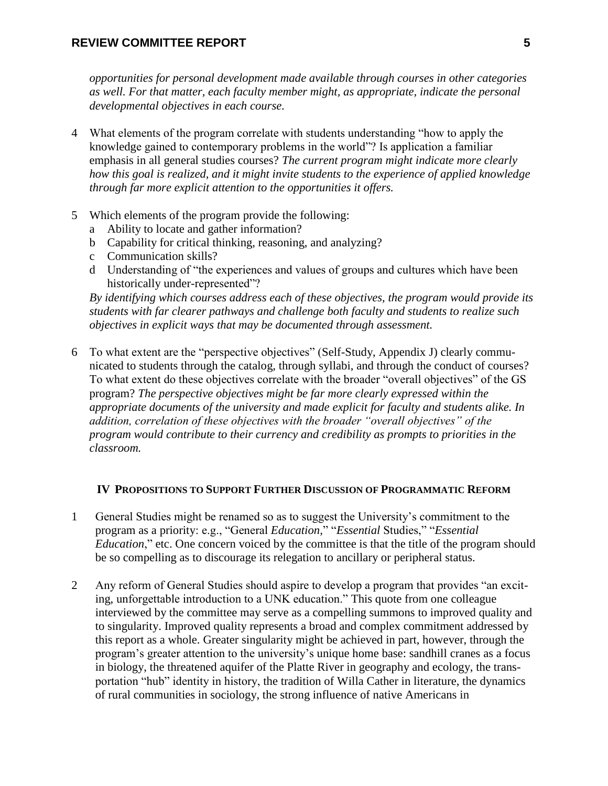*opportunities for personal development made available through courses in other categories as well. For that matter, each faculty member might, as appropriate, indicate the personal developmental objectives in each course.* 

- 4 What elements of the program correlate with students understanding "how to apply the knowledge gained to contemporary problems in the world"? Is application a familiar emphasis in all general studies courses? *The current program might indicate more clearly how this goal is realized, and it might invite students to the experience of applied knowledge through far more explicit attention to the opportunities it offers.*
- 5 Which elements of the program provide the following:
	- a Ability to locate and gather information?
	- b Capability for critical thinking, reasoning, and analyzing?
	- c Communication skills?
	- d Understanding of "the experiences and values of groups and cultures which have been historically under-represented"?

*By identifying which courses address each of these objectives, the program would provide its students with far clearer pathways and challenge both faculty and students to realize such objectives in explicit ways that may be documented through assessment.*

6 To what extent are the "perspective objectives" (Self-Study, Appendix J) clearly communicated to students through the catalog, through syllabi, and through the conduct of courses? To what extent do these objectives correlate with the broader "overall objectives" of the GS program? *The perspective objectives might be far more clearly expressed within the appropriate documents of the university and made explicit for faculty and students alike. In addition, correlation of these objectives with the broader "overall objectives" of the program would contribute to their currency and credibility as prompts to priorities in the classroom.*

#### **IV PROPOSITIONS TO SUPPORT FURTHER DISCUSSION OF PROGRAMMATIC REFORM**

- 1 General Studies might be renamed so as to suggest the University's commitment to the program as a priority: e.g., "General *Education,*" "*Essential* Studies," "*Essential Education*," etc. One concern voiced by the committee is that the title of the program should be so compelling as to discourage its relegation to ancillary or peripheral status.
- 2 Any reform of General Studies should aspire to develop a program that provides "an exciting, unforgettable introduction to a UNK education." This quote from one colleague interviewed by the committee may serve as a compelling summons to improved quality and to singularity. Improved quality represents a broad and complex commitment addressed by this report as a whole. Greater singularity might be achieved in part, however, through the program's greater attention to the university's unique home base: sandhill cranes as a focus in biology, the threatened aquifer of the Platte River in geography and ecology, the transportation "hub" identity in history, the tradition of Willa Cather in literature, the dynamics of rural communities in sociology, the strong influence of native Americans in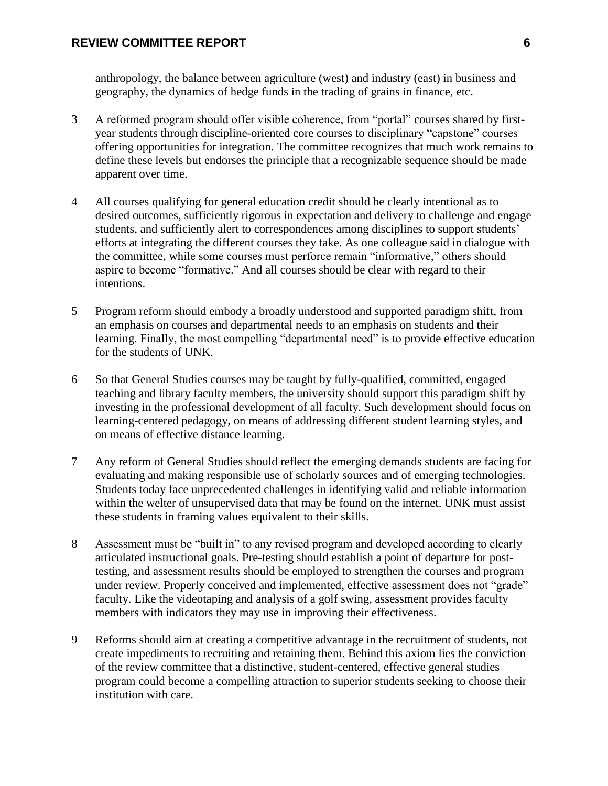anthropology, the balance between agriculture (west) and industry (east) in business and geography, the dynamics of hedge funds in the trading of grains in finance, etc.

- 3 A reformed program should offer visible coherence, from "portal" courses shared by firstyear students through discipline-oriented core courses to disciplinary "capstone" courses offering opportunities for integration. The committee recognizes that much work remains to define these levels but endorses the principle that a recognizable sequence should be made apparent over time.
- 4 All courses qualifying for general education credit should be clearly intentional as to desired outcomes, sufficiently rigorous in expectation and delivery to challenge and engage students, and sufficiently alert to correspondences among disciplines to support students' efforts at integrating the different courses they take. As one colleague said in dialogue with the committee, while some courses must perforce remain "informative," others should aspire to become "formative." And all courses should be clear with regard to their intentions.
- 5 Program reform should embody a broadly understood and supported paradigm shift, from an emphasis on courses and departmental needs to an emphasis on students and their learning. Finally, the most compelling "departmental need" is to provide effective education for the students of UNK.
- 6 So that General Studies courses may be taught by fully-qualified, committed, engaged teaching and library faculty members, the university should support this paradigm shift by investing in the professional development of all faculty. Such development should focus on learning-centered pedagogy, on means of addressing different student learning styles, and on means of effective distance learning.
- 7 Any reform of General Studies should reflect the emerging demands students are facing for evaluating and making responsible use of scholarly sources and of emerging technologies. Students today face unprecedented challenges in identifying valid and reliable information within the welter of unsupervised data that may be found on the internet. UNK must assist these students in framing values equivalent to their skills.
- 8 Assessment must be "built in" to any revised program and developed according to clearly articulated instructional goals. Pre-testing should establish a point of departure for posttesting, and assessment results should be employed to strengthen the courses and program under review. Properly conceived and implemented, effective assessment does not "grade" faculty. Like the videotaping and analysis of a golf swing, assessment provides faculty members with indicators they may use in improving their effectiveness.
- 9 Reforms should aim at creating a competitive advantage in the recruitment of students, not create impediments to recruiting and retaining them. Behind this axiom lies the conviction of the review committee that a distinctive, student-centered, effective general studies program could become a compelling attraction to superior students seeking to choose their institution with care.